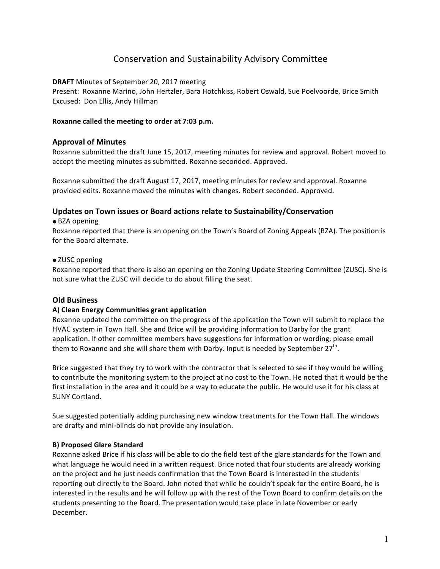# Conservation and Sustainability Advisory Committee

## **DRAFT** Minutes of September 20, 2017 meeting

Present: Roxanne Marino, John Hertzler, Bara Hotchkiss, Robert Oswald, Sue Poelvoorde, Brice Smith Excused: Don Ellis, Andy Hillman

#### Roxanne called the meeting to order at 7:03 p.m.

## **Approval of Minutes**

Roxanne submitted the draft June 15, 2017, meeting minutes for review and approval. Robert moved to accept the meeting minutes as submitted. Roxanne seconded. Approved.

Roxanne submitted the draft August 17, 2017, meeting minutes for review and approval. Roxanne provided edits. Roxanne moved the minutes with changes. Robert seconded. Approved.

# Updates on Town issues or Board actions relate to Sustainability/Conservation

#### ● BZA opening

Roxanne reported that there is an opening on the Town's Board of Zoning Appeals (BZA). The position is for the Board alternate.

## • ZUSC opening

Roxanne reported that there is also an opening on the Zoning Update Steering Committee (ZUSC). She is not sure what the ZUSC will decide to do about filling the seat.

## **Old Business**

#### **A) Clean Energy Communities grant application**

Roxanne updated the committee on the progress of the application the Town will submit to replace the HVAC system in Town Hall. She and Brice will be providing information to Darby for the grant application. If other committee members have suggestions for information or wording, please email them to Roxanne and she will share them with Darby. Input is needed by September  $27<sup>th</sup>$ .

Brice suggested that they try to work with the contractor that is selected to see if they would be willing to contribute the monitoring system to the project at no cost to the Town. He noted that it would be the first installation in the area and it could be a way to educate the public. He would use it for his class at SUNY Cortland. 

Sue suggested potentially adding purchasing new window treatments for the Town Hall. The windows are drafty and mini-blinds do not provide any insulation.

#### **B) Proposed Glare Standard**

Roxanne asked Brice if his class will be able to do the field test of the glare standards for the Town and what language he would need in a written request. Brice noted that four students are already working on the project and he just needs confirmation that the Town Board is interested in the students reporting out directly to the Board. John noted that while he couldn't speak for the entire Board, he is interested in the results and he will follow up with the rest of the Town Board to confirm details on the students presenting to the Board. The presentation would take place in late November or early December.